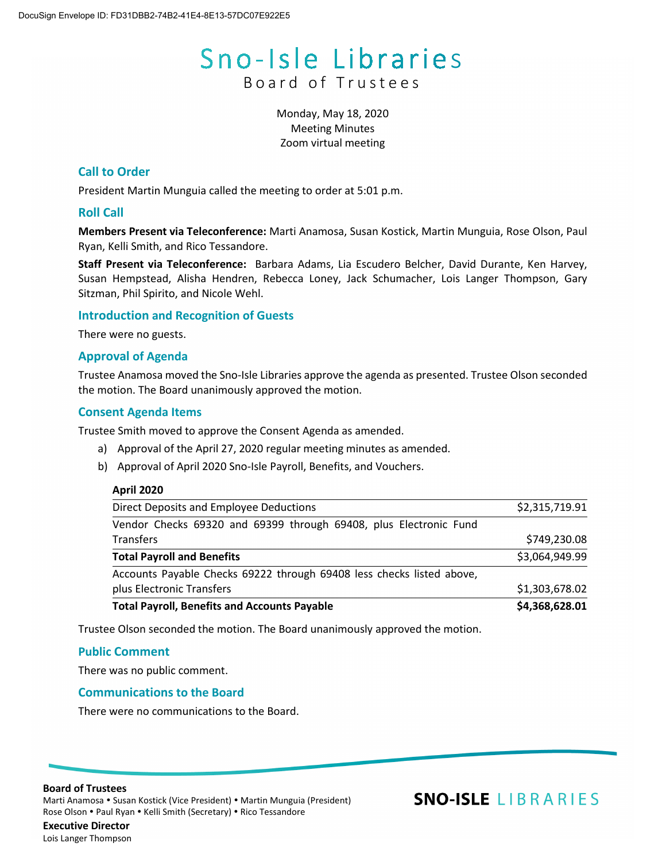# Sno-Isle Libraries Board of Trustees

Monday, May 18, 2020 Meeting Minutes Zoom virtual meeting

# **Call to Order**

President Martin Munguia called the meeting to order at 5:01 p.m.

# **Roll Call**

**Members Present via Teleconference:** Marti Anamosa, Susan Kostick, Martin Munguia, Rose Olson, Paul Ryan, Kelli Smith, and Rico Tessandore.

**Staff Present via Teleconference:** Barbara Adams, Lia Escudero Belcher, David Durante, Ken Harvey, Susan Hempstead, Alisha Hendren, Rebecca Loney, Jack Schumacher, Lois Langer Thompson, Gary Sitzman, Phil Spirito, and Nicole Wehl.

## **Introduction and Recognition of Guests**

There were no guests.

## **Approval of Agenda**

Trustee Anamosa moved the Sno-Isle Libraries approve the agenda as presented. Trustee Olson seconded the motion. The Board unanimously approved the motion.

## **Consent Agenda Items**

Trustee Smith moved to approve the Consent Agenda as amended.

- a) Approval of the April 27, 2020 regular meeting minutes as amended.
- b) Approval of April 2020 Sno-Isle Payroll, Benefits, and Vouchers.

#### **April 2020**

| <b>Total Payroll, Benefits and Accounts Payable</b>                   | \$4,368,628.01 |
|-----------------------------------------------------------------------|----------------|
| plus Electronic Transfers                                             | \$1,303,678.02 |
| Accounts Payable Checks 69222 through 69408 less checks listed above, |                |
| <b>Total Payroll and Benefits</b>                                     | \$3,064,949.99 |
| Transfers                                                             | \$749,230.08   |
| Vendor Checks 69320 and 69399 through 69408, plus Electronic Fund     |                |
| Direct Deposits and Employee Deductions                               | \$2,315,719.91 |

Trustee Olson seconded the motion. The Board unanimously approved the motion.

#### **Public Comment**

There was no public comment.

# **Communications to the Board**

There were no communications to the Board.

#### **Board of Trustees**

Marti Anamosa • Susan Kostick (Vice President) • Martin Munguia (President) Rose Olson . Paul Ryan . Kelli Smith (Secretary) . Rico Tessandore

# **SNO-ISLE LIBRARIES**

**Executive Director** Lois Langer Thompson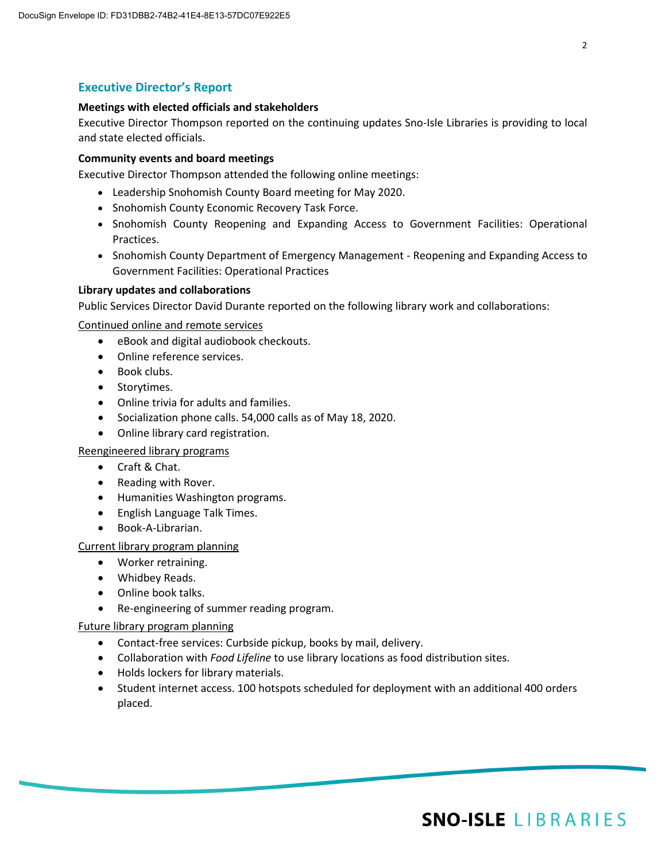# **Executive Director's Report**

#### **Meetings with elected officials and stakeholders**

Executive Director Thompson reported on the continuing updates Sno-Isle Libraries is providing to local and state elected officials.

# **Community events and board meetings**

Executive Director Thompson attended the following online meetings:

- Leadership Snohomish County Board meeting for May 2020.
- Snohomish County Economic Recovery Task Force.
- Snohomish County Reopening and Expanding Access to Government Facilities: Operational Practices.
- Snohomish County Department of Emergency Management Reopening and Expanding Access to Government Facilities: Operational Practices

## **Library updates and collaborations**

Public Services Director David Durante reported on the following library work and collaborations:

Continued online and remote services

- eBook and digital audiobook checkouts.
- Online reference services.
- Book clubs.
- Storytimes.
- Online trivia for adults and families.
- Socialization phone calls. 54,000 calls as of May 18, 2020.
- Online library card registration.

#### Reengineered library programs

- Craft & Chat.
- Reading with Rover.
- Humanities Washington programs.
- English Language Talk Times.
- Book-A-Librarian.

#### Current library program planning

- Worker retraining.
- Whidbey Reads.
- Online book talks.
- Re-engineering of summer reading program.

#### Future library program planning

- Contact-free services: Curbside pickup, books by mail, delivery.
- Collaboration with *Food Lifeline* to use library locations as food distribution sites.
- Holds lockers for library materials.
- Student internet access. 100 hotspots scheduled for deployment with an additional 400 orders placed.

# **SNO-ISLE LIBRARIES**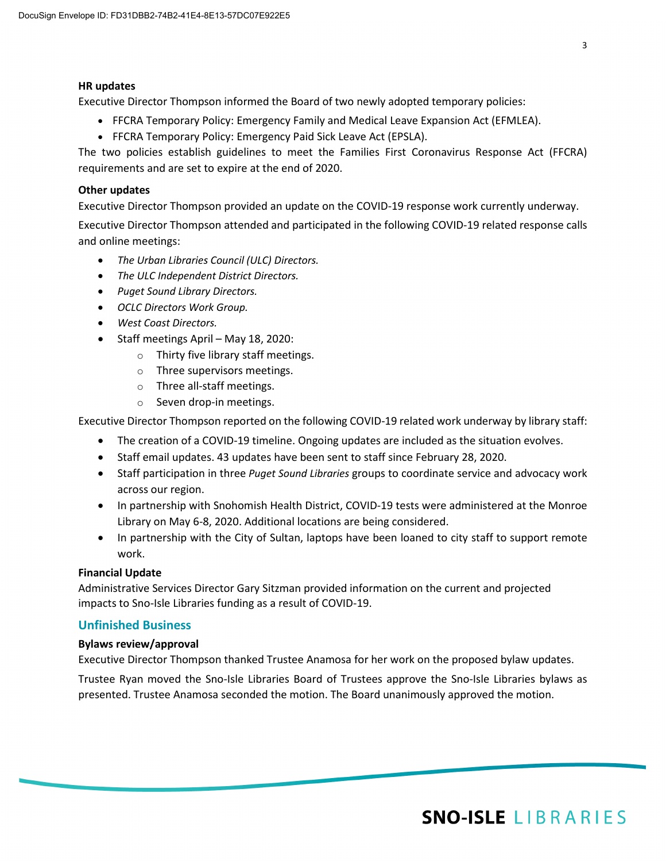#### **HR updates**

Executive Director Thompson informed the Board of two newly adopted temporary policies:

- FFCRA Temporary Policy: Emergency Family and Medical Leave Expansion Act (EFMLEA).
- FFCRA Temporary Policy: Emergency Paid Sick Leave Act (EPSLA).

The two policies establish guidelines to meet the Families First Coronavirus Response Act (FFCRA) requirements and are set to expire at the end of 2020.

#### **Other updates**

Executive Director Thompson provided an update on the COVID-19 response work currently underway.

Executive Director Thompson attended and participated in the following COVID-19 related response calls and online meetings:

- *The Urban Libraries Council (ULC) Directors.*
- *The ULC Independent District Directors.*
- *Puget Sound Library Directors.*
- *OCLC Directors Work Group.*
- *West Coast Directors.*
- Staff meetings April May 18, 2020:
	- o Thirty five library staff meetings.
	- o Three supervisors meetings.
	- o Three all-staff meetings.
	- o Seven drop-in meetings.

Executive Director Thompson reported on the following COVID-19 related work underway by library staff:

- The creation of a COVID-19 timeline. Ongoing updates are included as the situation evolves.
- Staff email updates. 43 updates have been sent to staff since February 28, 2020.
- Staff participation in three *Puget Sound Libraries* groups to coordinate service and advocacy work across our region.
- In partnership with Snohomish Health District, COVID-19 tests were administered at the Monroe Library on May 6-8, 2020. Additional locations are being considered.
- In partnership with the City of Sultan, laptops have been loaned to city staff to support remote work.

#### **Financial Update**

Administrative Services Director Gary Sitzman provided information on the current and projected impacts to Sno-Isle Libraries funding as a result of COVID-19.

# **Unfinished Business**

#### **Bylaws review/approval**

Executive Director Thompson thanked Trustee Anamosa for her work on the proposed bylaw updates.

Trustee Ryan moved the Sno-Isle Libraries Board of Trustees approve the Sno-Isle Libraries bylaws as presented. Trustee Anamosa seconded the motion. The Board unanimously approved the motion.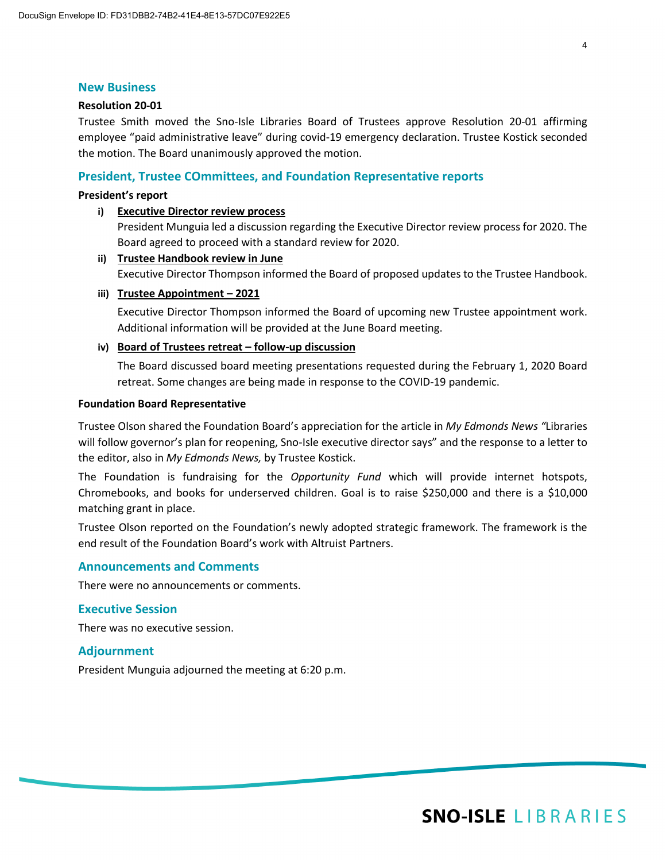#### **New Business**

#### **Resolution 20-01**

Trustee Smith moved the Sno-Isle Libraries Board of Trustees approve Resolution 20-01 affirming employee "paid administrative leave" during covid-19 emergency declaration. Trustee Kostick seconded the motion. The Board unanimously approved the motion.

#### **President, Trustee COmmittees, and Foundation Representative reports**

#### **President's report**

#### **i) Executive Director review process**

President Munguia led a discussion regarding the Executive Director review process for 2020. The Board agreed to proceed with a standard review for 2020.

#### **ii) Trustee Handbook review in June**

Executive Director Thompson informed the Board of proposed updates to the Trustee Handbook.

#### **iii) Trustee Appointment – 2021**

Executive Director Thompson informed the Board of upcoming new Trustee appointment work. Additional information will be provided at the June Board meeting.

#### **iv) Board of Trustees retreat – follow-up discussion**

The Board discussed board meeting presentations requested during the February 1, 2020 Board retreat. Some changes are being made in response to the COVID-19 pandemic.

#### **Foundation Board Representative**

Trustee Olson shared the Foundation Board's appreciation for the article in *My Edmonds News "*Libraries will follow governor's plan for reopening, Sno-Isle executive director says" and the response to a letter to the editor, also in *My Edmonds News,* by Trustee Kostick.

The Foundation is fundraising for the *Opportunity Fund* which will provide internet hotspots, Chromebooks, and books for underserved children. Goal is to raise \$250,000 and there is a \$10,000 matching grant in place.

Trustee Olson reported on the Foundation's newly adopted strategic framework. The framework is the end result of the Foundation Board's work with Altruist Partners.

#### **Announcements and Comments**

There were no announcements or comments.

### **Executive Session**

There was no executive session.

#### **Adjournment**

President Munguia adjourned the meeting at 6:20 p.m.